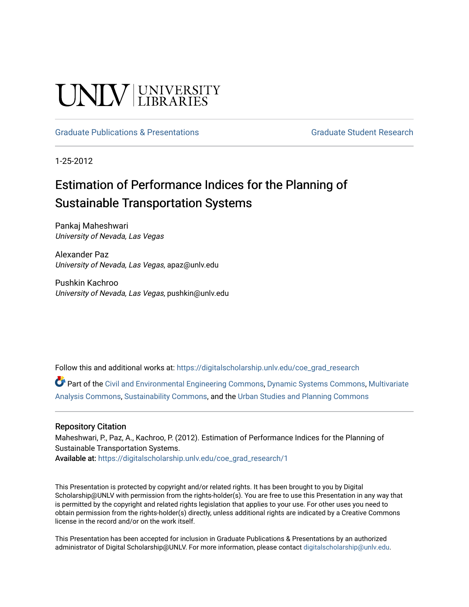#### UNIV UNIVERSITY

#### [Graduate Publications & Presentations](https://digitalscholarship.unlv.edu/coe_grad_research) Graduate Student Research

1-25-2012

#### Estimation of Performance Indices for the Planning of Sustainable Transportation Systems

Pankaj Maheshwari University of Nevada, Las Vegas

Alexander Paz University of Nevada, Las Vegas, apaz@unlv.edu

Pushkin Kachroo University of Nevada, Las Vegas, pushkin@unlv.edu

Follow this and additional works at: [https://digitalscholarship.unlv.edu/coe\\_grad\\_research](https://digitalscholarship.unlv.edu/coe_grad_research?utm_source=digitalscholarship.unlv.edu%2Fcoe_grad_research%2F1&utm_medium=PDF&utm_campaign=PDFCoverPages)

Part of the [Civil and Environmental Engineering Commons](http://network.bepress.com/hgg/discipline/251?utm_source=digitalscholarship.unlv.edu%2Fcoe_grad_research%2F1&utm_medium=PDF&utm_campaign=PDFCoverPages), [Dynamic Systems Commons,](http://network.bepress.com/hgg/discipline/117?utm_source=digitalscholarship.unlv.edu%2Fcoe_grad_research%2F1&utm_medium=PDF&utm_campaign=PDFCoverPages) [Multivariate](http://network.bepress.com/hgg/discipline/824?utm_source=digitalscholarship.unlv.edu%2Fcoe_grad_research%2F1&utm_medium=PDF&utm_campaign=PDFCoverPages)  [Analysis Commons,](http://network.bepress.com/hgg/discipline/824?utm_source=digitalscholarship.unlv.edu%2Fcoe_grad_research%2F1&utm_medium=PDF&utm_campaign=PDFCoverPages) [Sustainability Commons,](http://network.bepress.com/hgg/discipline/1031?utm_source=digitalscholarship.unlv.edu%2Fcoe_grad_research%2F1&utm_medium=PDF&utm_campaign=PDFCoverPages) and the [Urban Studies and Planning Commons](http://network.bepress.com/hgg/discipline/436?utm_source=digitalscholarship.unlv.edu%2Fcoe_grad_research%2F1&utm_medium=PDF&utm_campaign=PDFCoverPages) 

#### Repository Citation

Maheshwari, P., Paz, A., Kachroo, P. (2012). Estimation of Performance Indices for the Planning of Sustainable Transportation Systems. Available at: [https://digitalscholarship.unlv.edu/coe\\_grad\\_research/1](https://digitalscholarship.unlv.edu/coe_grad_research/1)

This Presentation is protected by copyright and/or related rights. It has been brought to you by Digital Scholarship@UNLV with permission from the rights-holder(s). You are free to use this Presentation in any way that is permitted by the copyright and related rights legislation that applies to your use. For other uses you need to obtain permission from the rights-holder(s) directly, unless additional rights are indicated by a Creative Commons license in the record and/or on the work itself.

This Presentation has been accepted for inclusion in Graduate Publications & Presentations by an authorized administrator of Digital Scholarship@UNLV. For more information, please contact [digitalscholarship@unlv.edu.](mailto:digitalscholarship@unlv.edu)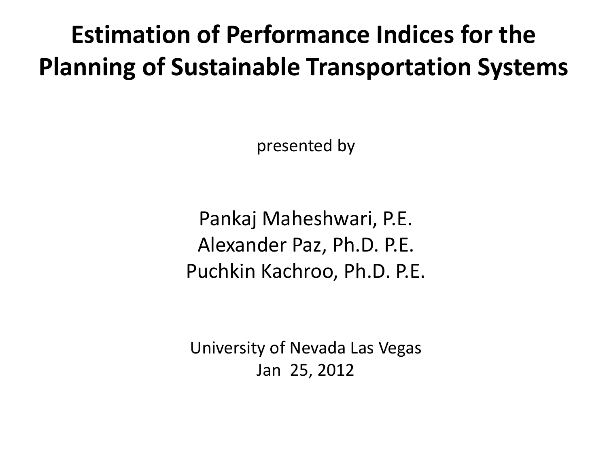#### **Estimation of Performance Indices for the Planning of Sustainable Transportation Systems**

presented by

Pankaj Maheshwari, P.E. Alexander Paz, Ph.D. P.E. Puchkin Kachroo, Ph.D. P.E.

University of Nevada Las Vegas Jan 25, 2012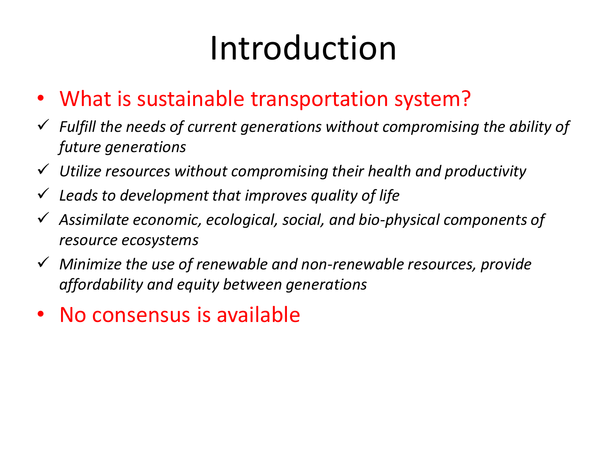## Introduction

- What is sustainable transportation system?
- *Fulfill the needs of current generations without compromising the ability of future generations*
- *Utilize resources without compromising their health and productivity*
- *Leads to development that improves quality of life*
- *Assimilate economic, ecological, social, and bio-physical components of resource ecosystems*
- *Minimize the use of renewable and non-renewable resources, provide affordability and equity between generations*
- No consensus is available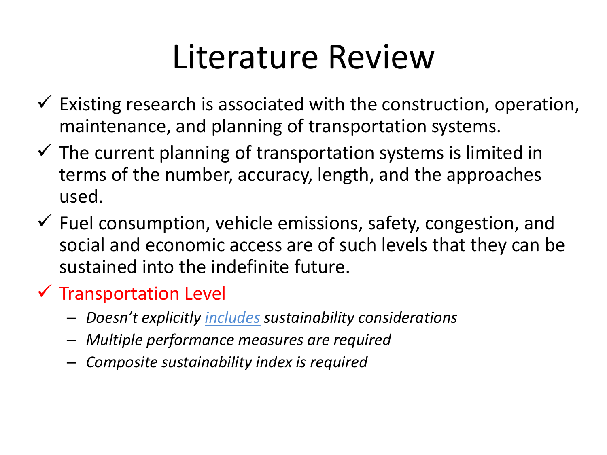### Literature Review

- $\checkmark$  Existing research is associated with the construction, operation, maintenance, and planning of transportation systems.
- $\checkmark$  The current planning of transportation systems is limited in terms of the number, accuracy, length, and the approaches used.
- $\checkmark$  Fuel consumption, vehicle emissions, safety, congestion, and social and economic access are of such levels that they can be sustained into the indefinite future.

#### $\checkmark$  Transportation Level

- *Doesn't explicitly includes sustainability considerations*
- *Multiple performance measures are required*
- *Composite sustainability index is required*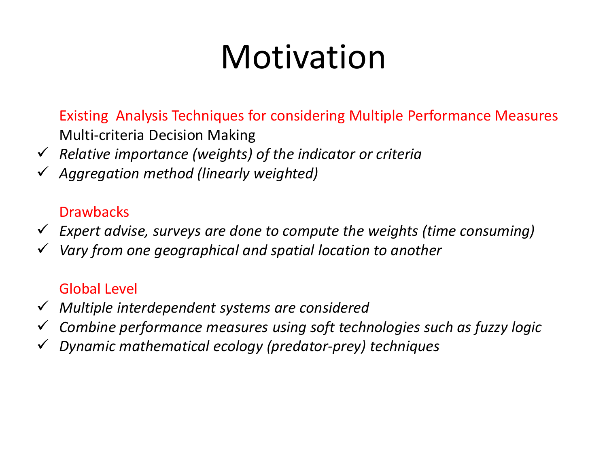## Motivation

Existing Analysis Techniques for considering Multiple Performance Measures Multi-criteria Decision Making

- *Relative importance (weights) of the indicator or criteria*
- *Aggregation method (linearly weighted)*

#### **Drawbacks**

- *Expert advise, surveys are done to compute the weights (time consuming)*
- *Vary from one geographical and spatial location to another*

#### Global Level

- *Multiple interdependent systems are considered*
- *Combine performance measures using soft technologies such as fuzzy logic*
- *Dynamic mathematical ecology (predator-prey) techniques*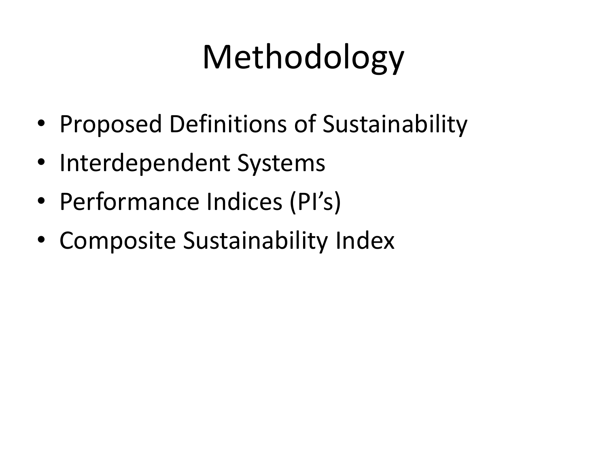# Methodology

- Proposed Definitions of Sustainability
- Interdependent Systems
- Performance Indices (PI's)
- Composite Sustainability Index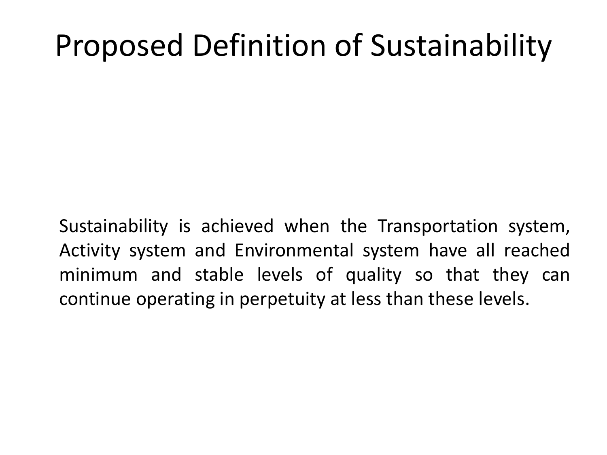#### Proposed Definition of Sustainability

Sustainability is achieved when the Transportation system, Activity system and Environmental system have all reached minimum and stable levels of quality so that they can continue operating in perpetuity at less than these levels.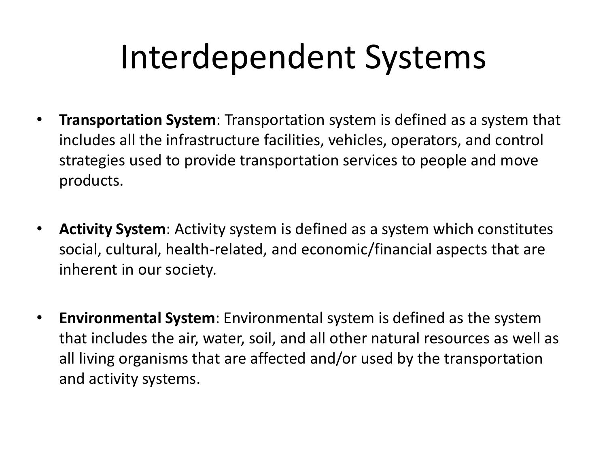### Interdependent Systems

- **Transportation System**: Transportation system is defined as a system that includes all the infrastructure facilities, vehicles, operators, and control strategies used to provide transportation services to people and move products.
- **Activity System**: Activity system is defined as a system which constitutes social, cultural, health-related, and economic/financial aspects that are inherent in our society.
- **Environmental System**: Environmental system is defined as the system that includes the air, water, soil, and all other natural resources as well as all living organisms that are affected and/or used by the transportation and activity systems.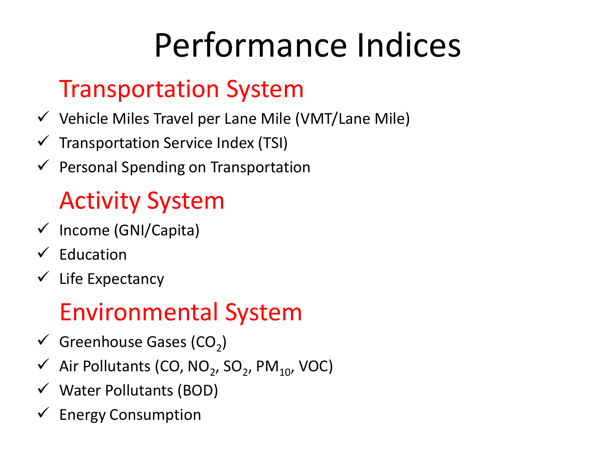# Performance Indices

#### Transportation System

- $\checkmark$  Vehicle Miles Travel per Lane Mile (VMT/Lane Mile)
- $\checkmark$  Transportation Service Index (TSI)
- $\checkmark$  Personal Spending on Transportation

#### Activity System

- $\checkmark$  Income (GNI/Capita)
- $\checkmark$  Education
- $\checkmark$  Life Expectancy

#### Environmental System

- $\checkmark$  Greenhouse Gases (CO<sub>2</sub>)
- $\checkmark$  Air Pollutants (CO, NO<sub>2</sub>, SO<sub>2</sub>, PM<sub>10</sub>, VOC)
- $\checkmark$  Water Pollutants (BOD)
- $\checkmark$  Energy Consumption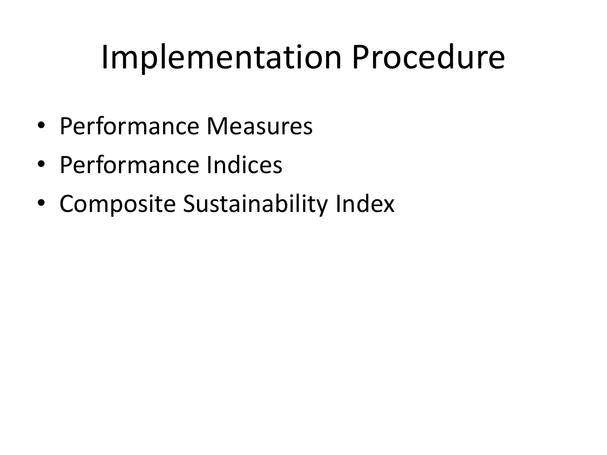## Implementation Procedure

- Performance Measures
- Performance Indices
- Composite Sustainability Index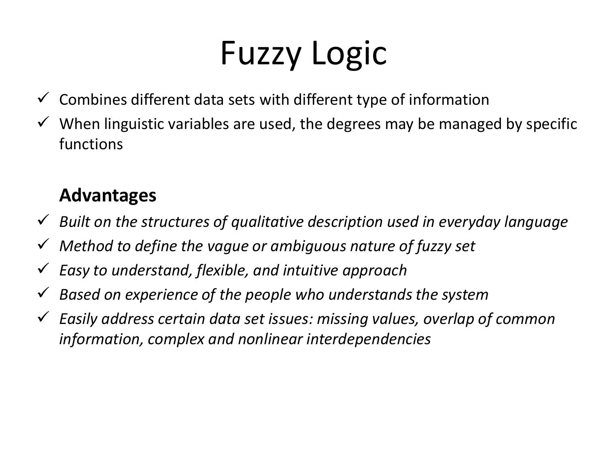# Fuzzy Logic

- $\checkmark$  Combines different data sets with different type of information
- $\checkmark$  When linguistic variables are used, the degrees may be managed by specific functions

#### **Advantages**

- *Built on the structures of qualitative description used in everyday language*
- *Method to define the vague or ambiguous nature of fuzzy set*
- *Easy to understand, flexible, and intuitive approach*
- *Based on experience of the people who understands the system*
- *Easily address certain data set issues: missing values, overlap of common information, complex and nonlinear interdependencies*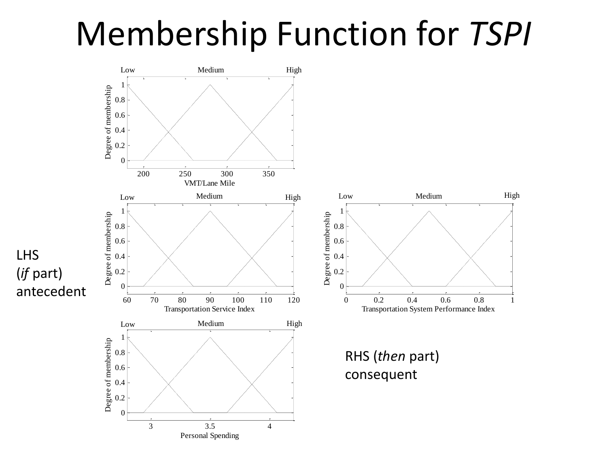#### Membership Function for *TSPI*

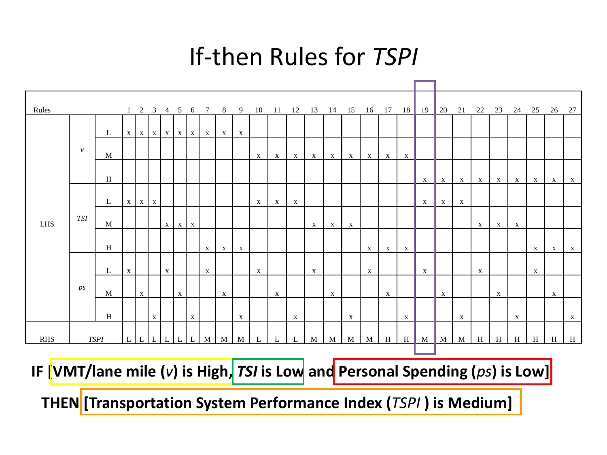#### If-then Rules for *TSPI*

| Rules      |             |   |              |              |              |              |                   |              |                             |              |              |              |              |              |              |              |              |              |              |              | 1 2 3 4 5 6 7 8 9 10 11 12 13 14 15 16 17 18 19 20 21 22 23 24 25 26 27 |              |              |              |              |              |              |              |              |
|------------|-------------|---|--------------|--------------|--------------|--------------|-------------------|--------------|-----------------------------|--------------|--------------|--------------|--------------|--------------|--------------|--------------|--------------|--------------|--------------|--------------|-------------------------------------------------------------------------|--------------|--------------|--------------|--------------|--------------|--------------|--------------|--------------|
| <b>LHS</b> | $\nu$       | L |              |              |              |              |                   |              | $X$ $X$ $X$ $X$ $X$ $X$ $X$ | $\mathbf{X}$ | X            |              |              |              |              |              |              |              |              |              |                                                                         |              |              |              |              |              |              |              |              |
|            |             | M |              |              |              |              |                   |              |                             |              |              | $\mathbf{X}$ | $\mathbf{X}$ | $\mathbf{X}$ | X            | $\mathbf{X}$ | $\mathbf{X}$ | $\mathbf{X}$ | $\mathbf{X}$ | $\mathbf{X}$ |                                                                         |              |              |              |              |              |              |              |              |
|            |             | H |              |              |              |              |                   |              |                             |              |              |              |              |              |              |              |              |              |              |              | $\mathbf{X}$                                                            | $\mathbf{X}$ | $\mathbf{X}$ | $\mathbf{X}$ | $\mathbf{x}$ | $X \mid$     | $\mathbf{X}$ | X            | $\mathbf{X}$ |
|            | <b>TSI</b>  | L |              | $X \mid X$   |              |              |                   |              |                             |              |              | $\mathbf{X}$ | $\mathbf{X}$ | $\mathbf{X}$ |              |              |              |              |              |              | $X \rightarrow \mathbb{P}$                                              | $\mathbf{X}$ | $\mathbf{X}$ |              |              |              |              |              |              |
|            |             | M |              |              |              |              | $X \mid X \mid X$ |              |                             |              |              |              |              |              | $\mathbf{X}$ | X            | $\mathbf{X}$ |              |              |              |                                                                         |              |              | $\mathbf{x}$ | $\mathbf{x}$ | $\mathbf{X}$ |              |              |              |
|            |             | H |              |              |              |              |                   |              | $\mathbf{X}$                |              | $\mathbf{X}$ |              |              |              |              |              |              | $\mathbf{X}$ | $\mathbf{X}$ | $\mathbf{X}$ |                                                                         |              |              |              |              |              | $\mathbf{X}$ |              | $\mathbf{X}$ |
|            | ps          | L | $\mathbf{X}$ |              |              | $\mathbf{X}$ |                   |              | $\mathbf{X}$                | $\mathbf{X}$ |              | $\mathbf{X}$ |              |              | $\mathbf{X}$ |              |              | $\mathbf{X}$ |              |              | $\mathbf{X}$                                                            |              |              | $\mathbf{X}$ |              |              | $\mathbf{X}$ | $\mathbf{X}$ |              |
|            |             | M |              | $\mathbf{X}$ |              |              | $\mathbf{X}$      |              |                             | $\mathbf{X}$ |              |              | $\mathbf{X}$ |              |              | $\mathbf{X}$ |              |              | $\mathbf{X}$ |              |                                                                         | $\mathbf{X}$ |              |              | $\mathbf{X}$ |              |              | $\mathbf{X}$ |              |
|            |             | H |              |              |              |              |                   |              |                             |              |              |              |              |              |              |              |              |              |              |              |                                                                         |              |              |              |              |              |              |              |              |
|            |             |   |              |              | $\mathbf{X}$ |              |                   | $\mathbf{X}$ |                             |              | $\mathbf{X}$ |              |              | $\mathbf{X}$ |              |              | $\mathbf{X}$ |              |              | $\mathbf{X}$ |                                                                         |              | $\mathbf{X}$ |              |              | $\mathbf{X}$ |              |              | $\mathbf{X}$ |
| <b>RHS</b> | <b>TSPI</b> |   | L            | L            | L            |              | L                 | L            | M                           | M            | M            | L            |              | L            | M            | M            | M            | M            | H            | H            | M                                                                       | M            | M            | H            | H            | H            | H            | H            | H            |

**IF [VMT/lane mile (***v***) is High,** *TSI* **is Low and Personal Spending (***ps***) is Low]**

**THEN [Transportation System Performance Index (***TSPI* **) is Medium]**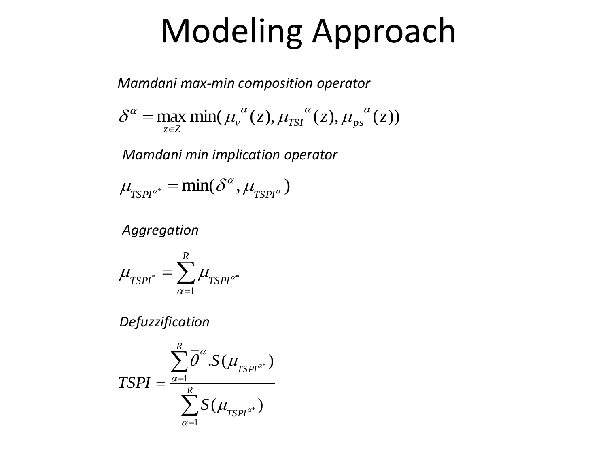### Modeling Approach

*Mamdani max-min composition operator*

$$
\delta^{\alpha} = \max_{z \in Z} \min(\mu_{v}^{\alpha}(z), \mu_{TSI}^{\alpha}(z), \mu_{ps}^{\alpha}(z))
$$

*Mamdani min implication operator*

$$
\mu_{TSPI^{\alpha^*}} = \min(\delta^{\alpha}, \mu_{TSPI^{\alpha}})
$$

*Aggregation*

$$
\mu_{\text{TSPI}^*} = \sum_{\alpha=1}^R \mu_{\text{TSPI}^{\alpha^*}}
$$

*Defuzzification*

$$
TSPI = \frac{\sum_{\alpha=1}^{R} \overline{\theta}^{\alpha} . S(\mu_{TSPI^{\alpha^*}})}{\sum_{\alpha=1}^{R} S(\mu_{TSPI^{\alpha^*}})}
$$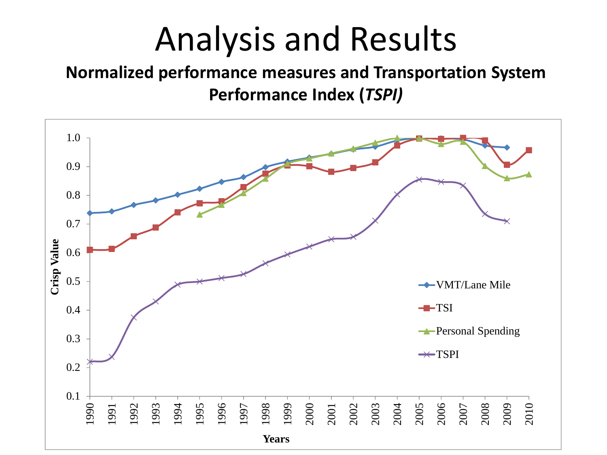### Analysis and Results

#### **Normalized performance measures and Transportation System Performance Index (***TSPI)*

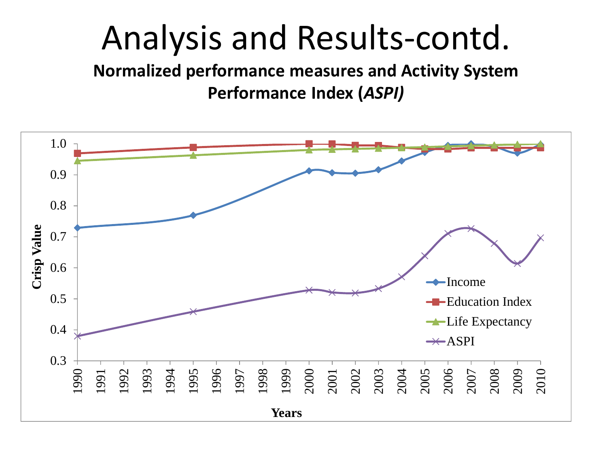### Analysis and Results-contd.

**Normalized performance measures and Activity System Performance Index (***ASPI)*

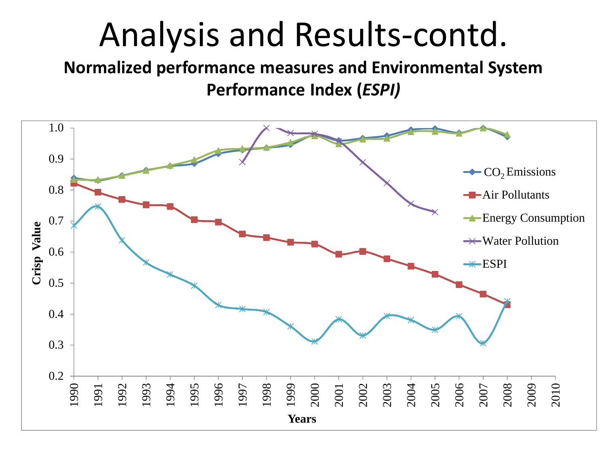#### Analysis and Results-contd.

#### **Normalized performance measures and Environmental System Performance Index (***ESPI)*

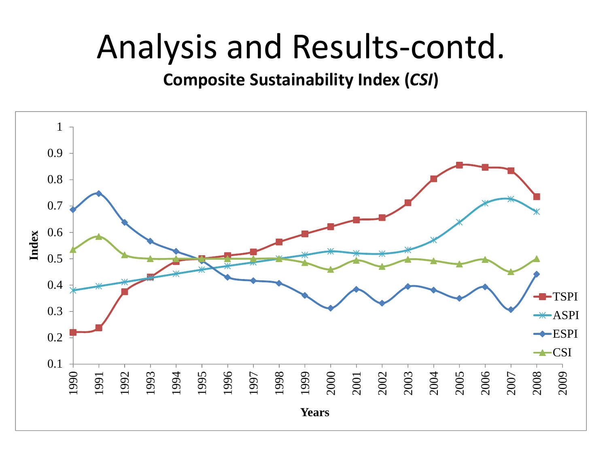#### Analysis and Results-contd.

#### **Composite Sustainability Index (***CSI***)**

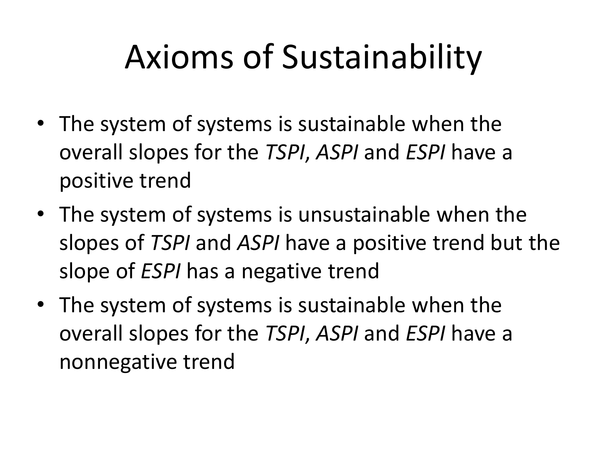# Axioms of Sustainability

- The system of systems is sustainable when the overall slopes for the *TSPI*, *ASPI* and *ESPI* have a positive trend
- The system of systems is unsustainable when the slopes of *TSPI* and *ASPI* have a positive trend but the slope of *ESPI* has a negative trend
- The system of systems is sustainable when the overall slopes for the *TSPI*, *ASPI* and *ESPI* have a nonnegative trend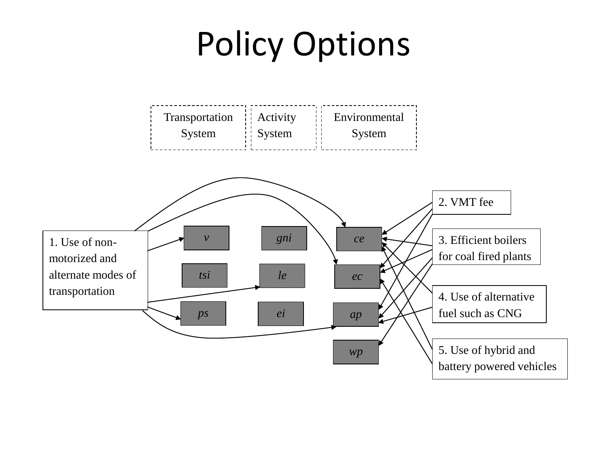### Policy Options

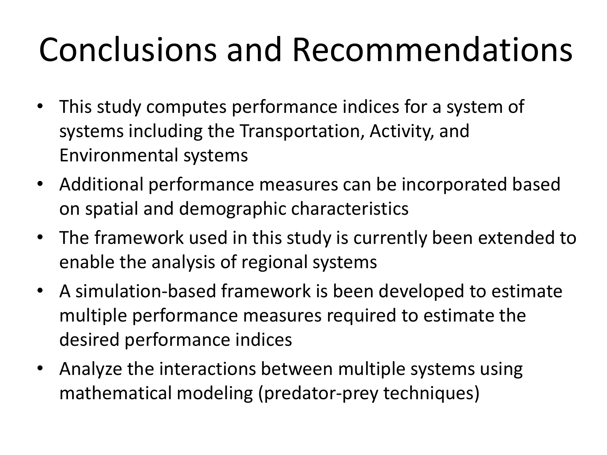# Conclusions and Recommendations

- This study computes performance indices for a system of systems including the Transportation, Activity, and Environmental systems
- Additional performance measures can be incorporated based on spatial and demographic characteristics
- The framework used in this study is currently been extended to enable the analysis of regional systems
- A simulation-based framework is been developed to estimate multiple performance measures required to estimate the desired performance indices
- Analyze the interactions between multiple systems using mathematical modeling (predator-prey techniques)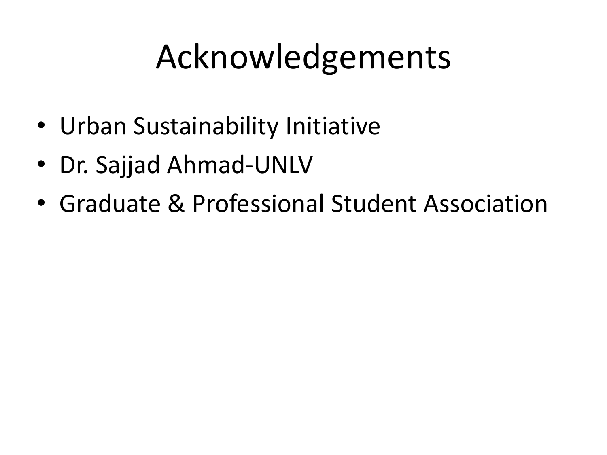## Acknowledgements

- Urban Sustainability Initiative
- Dr. Sajjad Ahmad-UNLV
- Graduate & Professional Student Association